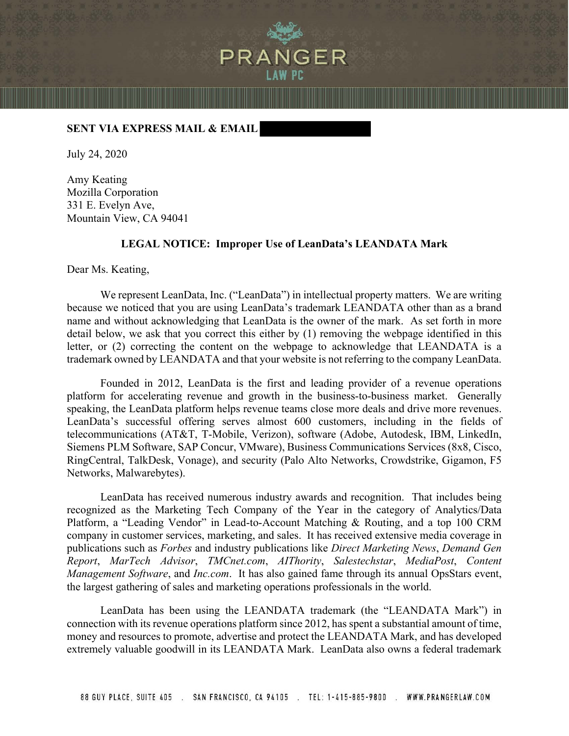

## **SENT VIA EXPRESS MAIL & EMAIL**

July 24, 2020

Amy Keating Mozilla Corporation 331 E. Evelyn Ave, Mountain View, CA 94041

## **LEGAL NOTICE: Improper Use of LeanData's LEANDATA Mark**

Dear Ms. Keating,

We represent LeanData, Inc. ("LeanData") in intellectual property matters. We are writing because we noticed that you are using LeanData's trademark LEANDATA other than as a brand name and without acknowledging that LeanData is the owner of the mark. As set forth in more detail below, we ask that you correct this either by (1) removing the webpage identified in this letter, or (2) correcting the content on the webpage to acknowledge that LEANDATA is a trademark owned by LEANDATA and that your website is not referring to the company LeanData.

Founded in 2012, LeanData is the first and leading provider of a revenue operations platform for accelerating revenue and growth in the business-to-business market. Generally speaking, the LeanData platform helps revenue teams close more deals and drive more revenues. LeanData's successful offering serves almost 600 customers, including in the fields of telecommunications (AT&T, T-Mobile, Verizon), software (Adobe, Autodesk, IBM, LinkedIn, Siemens PLM Software, SAP Concur, VMware), Business Communications Services (8x8, Cisco, RingCentral, TalkDesk, Vonage), and security (Palo Alto Networks, Crowdstrike, Gigamon, F5 Networks, Malwarebytes).

LeanData has received numerous industry awards and recognition. That includes being recognized as the Marketing Tech Company of the Year in the category of Analytics/Data Platform, a "Leading Vendor" in Lead-to-Account Matching & Routing, and a top 100 CRM company in customer services, marketing, and sales. It has received extensive media coverage in publications such as *Forbes* and industry publications like *Direct Marketing News*, *Demand Gen Report*, *MarTech Advisor*, *TMCnet.com*, *AIThority*, *Salestechstar*, *MediaPost*, *Content Management Software*, and *Inc.com*. It has also gained fame through its annual OpsStars event, the largest gathering of sales and marketing operations professionals in the world.

LeanData has been using the LEANDATA trademark (the "LEANDATA Mark") in connection with its revenue operations platform since 2012, has spent a substantial amount of time, money and resources to promote, advertise and protect the LEANDATA Mark, and has developed extremely valuable goodwill in its LEANDATA Mark. LeanData also owns a federal trademark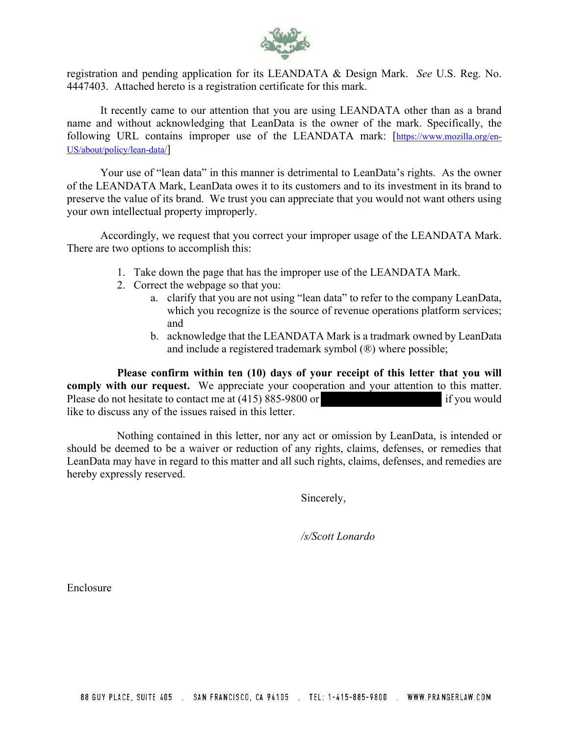

registration and pending application for its LEANDATA & Design Mark. *See* U.S. Reg. No. 4447403. Attached hereto is a registration certificate for this mark.

It recently came to our attention that you are using LEANDATA other than as a brand name and without acknowledging that LeanData is the owner of the mark. Specifically, the following URL contains improper use of the LEANDATA mark: [\[https://www.mozilla.org/en-](https://www.mozilla.org/en-US/about/policy/lean-data/)[US/about/policy/lean-data/\]](https://www.mozilla.org/en-US/about/policy/lean-data/)

Your use of "lean data" in this manner is detrimental to LeanData's rights. As the owner of the LEANDATA Mark, LeanData owes it to its customers and to its investment in its brand to preserve the value of its brand. We trust you can appreciate that you would not want others using your own intellectual property improperly.

Accordingly, we request that you correct your improper usage of the LEANDATA Mark. There are two options to accomplish this:

- 1. Take down the page that has the improper use of the LEANDATA Mark.
- 2. Correct the webpage so that you:
	- a. clarify that you are not using "lean data" to refer to the company LeanData, which you recognize is the source of revenue operations platform services; and
	- b. acknowledge that the LEANDATA Mark is a tradmark owned by LeanData and include a registered trademark symbol (®) where possible;

**Please confirm within ten (10) days of your receipt of this letter that you will comply with our request.** We appreciate your cooperation and your attention to this matter. Please do not hesitate to contact me at (415) 885-9800 or if you would like to discuss any of the issues raised in this letter.

Nothing contained in this letter, nor any act or omission by LeanData, is intended or should be deemed to be a waiver or reduction of any rights, claims, defenses, or remedies that LeanData may have in regard to this matter and all such rights, claims, defenses, and remedies are hereby expressly reserved.

Sincerely,

*/s/Scott Lonardo* 

Enclosure